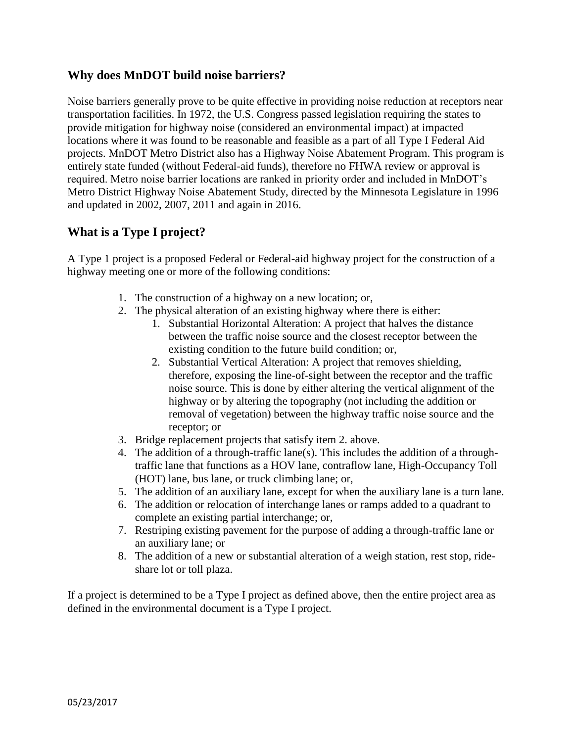## **Why does MnDOT build noise barriers?**

Noise barriers generally prove to be quite effective in providing noise reduction at receptors near transportation facilities. In 1972, the U.S. Congress passed legislation requiring the states to provide mitigation for highway noise (considered an environmental impact) at impacted locations where it was found to be reasonable and feasible as a part of all Type I Federal Aid projects. MnDOT Metro District also has a Highway Noise Abatement Program. This program is entirely state funded (without Federal-aid funds), therefore no FHWA review or approval is required. Metro noise barrier locations are ranked in priority order and included in MnDOT's Metro District Highway Noise Abatement Study, directed by the Minnesota Legislature in 1996 and updated in 2002, 2007, 2011 and again in 2016.

# **What is a Type I project?**

A Type 1 project is a proposed Federal or Federal-aid highway project for the construction of a highway meeting one or more of the following conditions:

- 1. The construction of a highway on a new location; or,
- 2. The physical alteration of an existing highway where there is either:
	- 1. Substantial Horizontal Alteration: A project that halves the distance between the traffic noise source and the closest receptor between the existing condition to the future build condition; or,
	- 2. Substantial Vertical Alteration: A project that removes shielding, therefore, exposing the line-of-sight between the receptor and the traffic noise source. This is done by either altering the vertical alignment of the highway or by altering the topography (not including the addition or removal of vegetation) between the highway traffic noise source and the receptor; or
- 3. Bridge replacement projects that satisfy item 2. above.
- 4. The addition of a through-traffic lane(s). This includes the addition of a throughtraffic lane that functions as a HOV lane, contraflow lane, High-Occupancy Toll (HOT) lane, bus lane, or truck climbing lane; or,
- 5. The addition of an auxiliary lane, except for when the auxiliary lane is a turn lane.
- 6. The addition or relocation of interchange lanes or ramps added to a quadrant to complete an existing partial interchange; or,
- 7. Restriping existing pavement for the purpose of adding a through-traffic lane or an auxiliary lane; or
- 8. The addition of a new or substantial alteration of a weigh station, rest stop, rideshare lot or toll plaza.

If a project is determined to be a Type I project as defined above, then the entire project area as defined in the environmental document is a Type I project.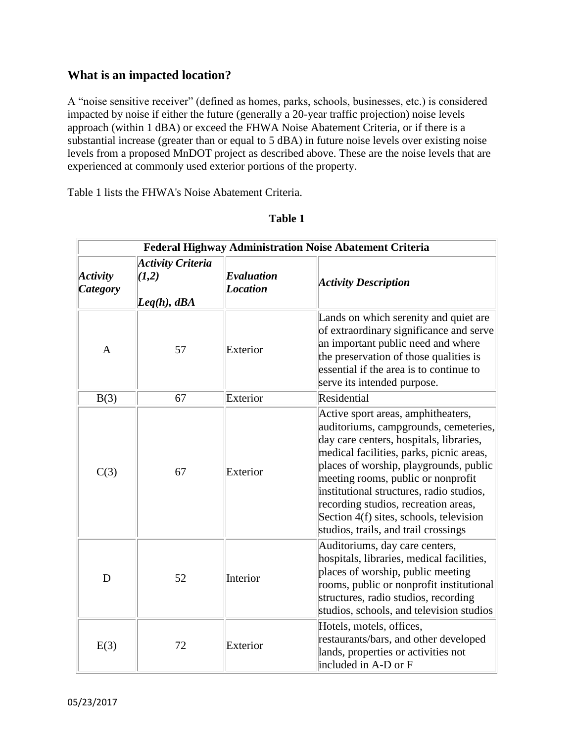## **What is an impacted location?**

A "noise sensitive receiver" (defined as homes, parks, schools, businesses, etc.) is considered impacted by noise if either the future (generally a 20-year traffic projection) noise levels approach (within 1 dBA) or exceed the FHWA Noise Abatement Criteria, or if there is a substantial increase (greater than or equal to 5 dBA) in future noise levels over existing noise levels from a proposed MnDOT project as described above. These are the noise levels that are experienced at commonly used exterior portions of the property.

Table 1 lists the FHWA's Noise Abatement Criteria.

| Federal Highway Administration Noise Abatement Criteria |                                                  |                               |                                                                                                                                                                                                                                                                                                                                                                                                                           |  |
|---------------------------------------------------------|--------------------------------------------------|-------------------------------|---------------------------------------------------------------------------------------------------------------------------------------------------------------------------------------------------------------------------------------------------------------------------------------------------------------------------------------------------------------------------------------------------------------------------|--|
| Activity<br><b>Category</b>                             | <b>Activity Criteria</b><br>(1,2)<br>Leg(h), dBA | Evaluation<br><b>Location</b> | <b>Activity Description</b>                                                                                                                                                                                                                                                                                                                                                                                               |  |
| $\mathbf{A}$                                            | 57                                               | Exterior                      | Lands on which serenity and quiet are<br>of extraordinary significance and serve<br>an important public need and where<br>the preservation of those qualities is<br>essential if the area is to continue to<br>serve its intended purpose.                                                                                                                                                                                |  |
| B(3)                                                    | 67                                               | Exterior                      | Residential                                                                                                                                                                                                                                                                                                                                                                                                               |  |
| C(3)                                                    | 67                                               | Exterior                      | Active sport areas, amphitheaters,<br>auditoriums, campgrounds, cemeteries,<br>day care centers, hospitals, libraries,<br>medical facilities, parks, picnic areas,<br>places of worship, playgrounds, public<br>meeting rooms, public or nonprofit<br>institutional structures, radio studios,<br>recording studios, recreation areas,<br>Section 4(f) sites, schools, television<br>studios, trails, and trail crossings |  |
| D                                                       | 52                                               | Interior                      | Auditoriums, day care centers,<br>hospitals, libraries, medical facilities,<br>places of worship, public meeting<br>rooms, public or nonprofit institutional<br>structures, radio studios, recording<br>studios, schools, and television studios                                                                                                                                                                          |  |
| E(3)                                                    | 72                                               | Exterior                      | Hotels, motels, offices,<br>restaurants/bars, and other developed<br>lands, properties or activities not<br>included in A-D or F                                                                                                                                                                                                                                                                                          |  |

#### **Table 1**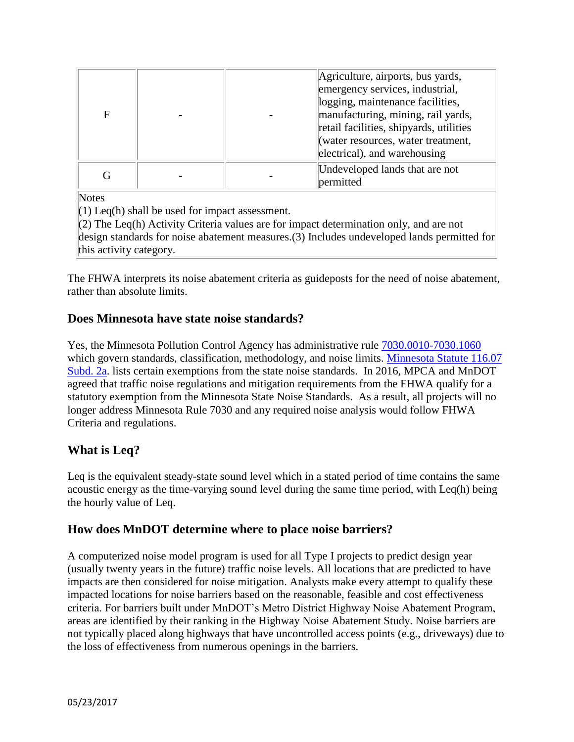| F | Agriculture, airports, bus yards,<br>emergency services, industrial,<br>logging, maintenance facilities,<br>manufacturing, mining, rail yards,<br>retail facilities, shipyards, utilities<br>(water resources, water treatment,<br>electrical), and warehousing |
|---|-----------------------------------------------------------------------------------------------------------------------------------------------------------------------------------------------------------------------------------------------------------------|
|   | Undeveloped lands that are not<br>permitted                                                                                                                                                                                                                     |

**Notes** 

 $(1)$  Leq(h) shall be used for impact assessment.

(2) The Leq(h) Activity Criteria values are for impact determination only, and are not design standards for noise abatement measures.(3) Includes undeveloped lands permitted for this activity category.

The FHWA interprets its noise abatement criteria as guideposts for the need of noise abatement, rather than absolute limits.

## **Does Minnesota have state noise standards?**

Yes, the Minnesota Pollution Control Agency has administrative rule [7030.0010-7030.1060](https://www.revisor.mn.gov/rules/?id=7030) which govern standards, classification, methodology, and noise limits. [Minnesota Statute 116.07](https://www.revisor.mn.gov/statutes/?id=116.07)  [Subd. 2a.](https://www.revisor.mn.gov/statutes/?id=116.07) lists certain exemptions from the state noise standards. In 2016, MPCA and MnDOT agreed that traffic noise regulations and mitigation requirements from the FHWA qualify for a statutory exemption from the Minnesota State Noise Standards. As a result, all projects will no longer address Minnesota Rule 7030 and any required noise analysis would follow FHWA Criteria and regulations.

# **What is Leq?**

Leq is the equivalent steady-state sound level which in a stated period of time contains the same acoustic energy as the time-varying sound level during the same time period, with Leq(h) being the hourly value of Leq.

## **How does MnDOT determine where to place noise barriers?**

A computerized noise model program is used for all Type I projects to predict design year (usually twenty years in the future) traffic noise levels. All locations that are predicted to have impacts are then considered for noise mitigation. Analysts make every attempt to qualify these impacted locations for noise barriers based on the reasonable, feasible and cost effectiveness criteria. For barriers built under MnDOT's Metro District Highway Noise Abatement Program, areas are identified by their ranking in the Highway Noise Abatement Study. Noise barriers are not typically placed along highways that have uncontrolled access points (e.g., driveways) due to the loss of effectiveness from numerous openings in the barriers.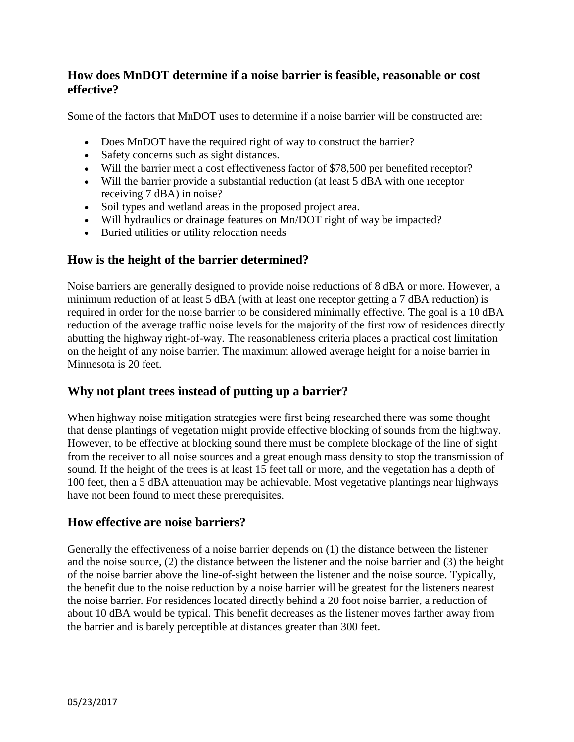## **How does MnDOT determine if a noise barrier is feasible, reasonable or cost effective?**

Some of the factors that MnDOT uses to determine if a noise barrier will be constructed are:

- Does MnDOT have the required right of way to construct the barrier?
- Safety concerns such as sight distances.
- Will the barrier meet a cost effectiveness factor of \$78,500 per benefited receptor?
- Will the barrier provide a substantial reduction (at least 5 dBA with one receptor receiving 7 dBA) in noise?
- Soil types and wetland areas in the proposed project area.
- Will hydraulics or drainage features on Mn/DOT right of way be impacted?
- Buried utilities or utility relocation needs

# **How is the height of the barrier determined?**

Noise barriers are generally designed to provide noise reductions of 8 dBA or more. However, a minimum reduction of at least 5 dBA (with at least one receptor getting a 7 dBA reduction) is required in order for the noise barrier to be considered minimally effective. The goal is a 10 dBA reduction of the average traffic noise levels for the majority of the first row of residences directly abutting the highway right-of-way. The reasonableness criteria places a practical cost limitation on the height of any noise barrier. The maximum allowed average height for a noise barrier in Minnesota is 20 feet.

# **Why not plant trees instead of putting up a barrier?**

When highway noise mitigation strategies were first being researched there was some thought that dense plantings of vegetation might provide effective blocking of sounds from the highway. However, to be effective at blocking sound there must be complete blockage of the line of sight from the receiver to all noise sources and a great enough mass density to stop the transmission of sound. If the height of the trees is at least 15 feet tall or more, and the vegetation has a depth of 100 feet, then a 5 dBA attenuation may be achievable. Most vegetative plantings near highways have not been found to meet these prerequisites.

## **How effective are noise barriers?**

Generally the effectiveness of a noise barrier depends on (1) the distance between the listener and the noise source, (2) the distance between the listener and the noise barrier and (3) the height of the noise barrier above the line-of-sight between the listener and the noise source. Typically, the benefit due to the noise reduction by a noise barrier will be greatest for the listeners nearest the noise barrier. For residences located directly behind a 20 foot noise barrier, a reduction of about 10 dBA would be typical. This benefit decreases as the listener moves farther away from the barrier and is barely perceptible at distances greater than 300 feet.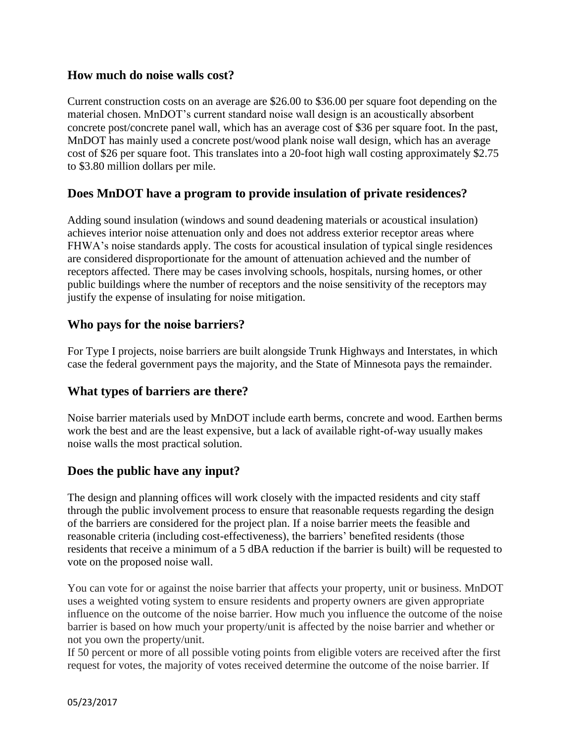### **How much do noise walls cost?**

Current construction costs on an average are \$26.00 to \$36.00 per square foot depending on the material chosen. MnDOT's current standard noise wall design is an acoustically absorbent concrete post/concrete panel wall, which has an average cost of \$36 per square foot. In the past, MnDOT has mainly used a concrete post/wood plank noise wall design, which has an average cost of \$26 per square foot. This translates into a 20-foot high wall costing approximately \$2.75 to \$3.80 million dollars per mile.

## **Does MnDOT have a program to provide insulation of private residences?**

Adding sound insulation (windows and sound deadening materials or acoustical insulation) achieves interior noise attenuation only and does not address exterior receptor areas where FHWA's noise standards apply. The costs for acoustical insulation of typical single residences are considered disproportionate for the amount of attenuation achieved and the number of receptors affected. There may be cases involving schools, hospitals, nursing homes, or other public buildings where the number of receptors and the noise sensitivity of the receptors may justify the expense of insulating for noise mitigation.

### **Who pays for the noise barriers?**

For Type I projects, noise barriers are built alongside Trunk Highways and Interstates, in which case the federal government pays the majority, and the State of Minnesota pays the remainder.

### **What types of barriers are there?**

Noise barrier materials used by MnDOT include earth berms, concrete and wood. Earthen berms work the best and are the least expensive, but a lack of available right-of-way usually makes noise walls the most practical solution.

### **Does the public have any input?**

The design and planning offices will work closely with the impacted residents and city staff through the public involvement process to ensure that reasonable requests regarding the design of the barriers are considered for the project plan. If a noise barrier meets the feasible and reasonable criteria (including cost-effectiveness), the barriers' benefited residents (those residents that receive a minimum of a 5 dBA reduction if the barrier is built) will be requested to vote on the proposed noise wall.

You can vote for or against the noise barrier that affects your property, unit or business. MnDOT uses a weighted voting system to ensure residents and property owners are given appropriate influence on the outcome of the noise barrier. How much you influence the outcome of the noise barrier is based on how much your property/unit is affected by the noise barrier and whether or not you own the property/unit.

If 50 percent or more of all possible voting points from eligible voters are received after the first request for votes, the majority of votes received determine the outcome of the noise barrier. If